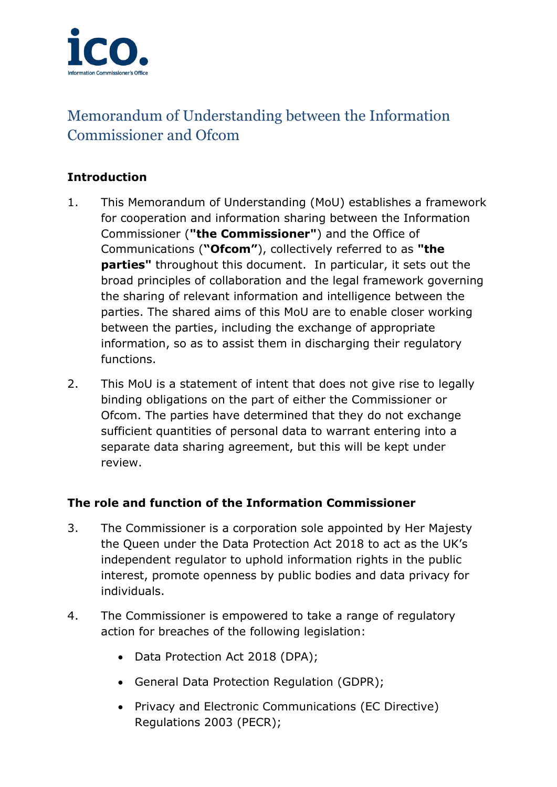

# Memorandum of Understanding between the Information Commissioner and Ofcom

# **Introduction**

- 1. This Memorandum of Understanding (MoU) establishes a framework for cooperation and information sharing between the Information Commissioner (**"the Commissioner"**) and the Office of Communications (**"Ofcom"**), collectively referred to as **"the parties"** throughout this document. In particular, it sets out the broad principles of collaboration and the legal framework governing the sharing of relevant information and intelligence between the parties. The shared aims of this MoU are to enable closer working between the parties, including the exchange of appropriate information, so as to assist them in discharging their regulatory functions.
- 2. This MoU is a statement of intent that does not give rise to legally binding obligations on the part of either the Commissioner or Ofcom. The parties have determined that they do not exchange sufficient quantities of personal data to warrant entering into a separate data sharing agreement, but this will be kept under review.

## **The role and function of the Information Commissioner**

- 3. The Commissioner is a corporation sole appointed by Her Majesty the Queen under the Data Protection Act 2018 to act as the UK's independent regulator to uphold information rights in the public interest, promote openness by public bodies and data privacy for individuals.
- 4. The Commissioner is empowered to take a range of regulatory action for breaches of the following legislation:
	- Data Protection Act 2018 (DPA);
	- General Data Protection Regulation (GDPR);
	- Privacy and Electronic Communications (EC Directive) Regulations 2003 (PECR);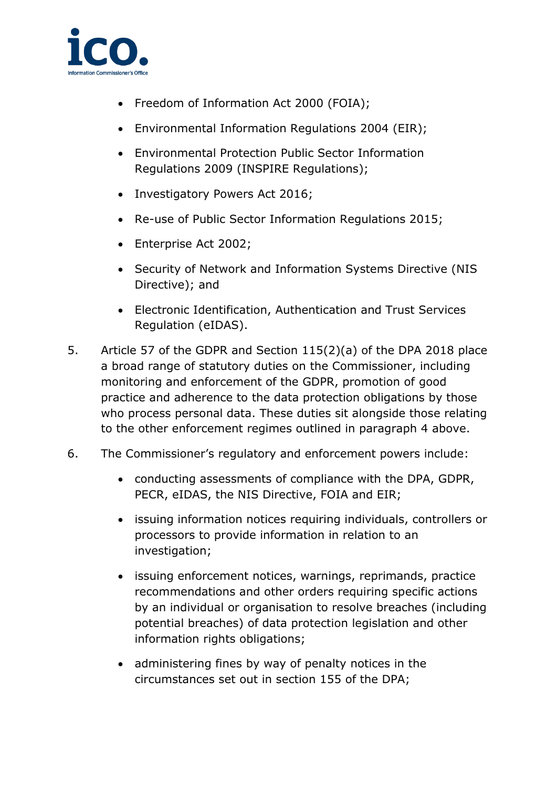

- Freedom of Information Act 2000 (FOIA);
- Environmental Information Regulations 2004 (EIR);
- Environmental Protection Public Sector Information Regulations 2009 (INSPIRE Regulations);
- Investigatory Powers Act 2016;
- Re-use of Public Sector Information Regulations 2015;
- Enterprise Act 2002;
- Security of Network and Information Systems Directive (NIS Directive); and
- Electronic Identification, Authentication and Trust Services Regulation (eIDAS).
- 5. Article 57 of the GDPR and Section 115(2)(a) of the DPA 2018 place a broad range of statutory duties on the Commissioner, including monitoring and enforcement of the GDPR, promotion of good practice and adherence to the data protection obligations by those who process personal data. These duties sit alongside those relating to the other enforcement regimes outlined in paragraph 4 above.
- 6. The Commissioner's regulatory and enforcement powers include:
	- conducting assessments of compliance with the DPA, GDPR, PECR, eIDAS, the NIS Directive, FOIA and EIR;
	- issuing information notices requiring individuals, controllers or processors to provide information in relation to an investigation;
	- issuing enforcement notices, warnings, reprimands, practice recommendations and other orders requiring specific actions by an individual or organisation to resolve breaches (including potential breaches) of data protection legislation and other information rights obligations;
	- administering fines by way of penalty notices in the circumstances set out in section 155 of the DPA;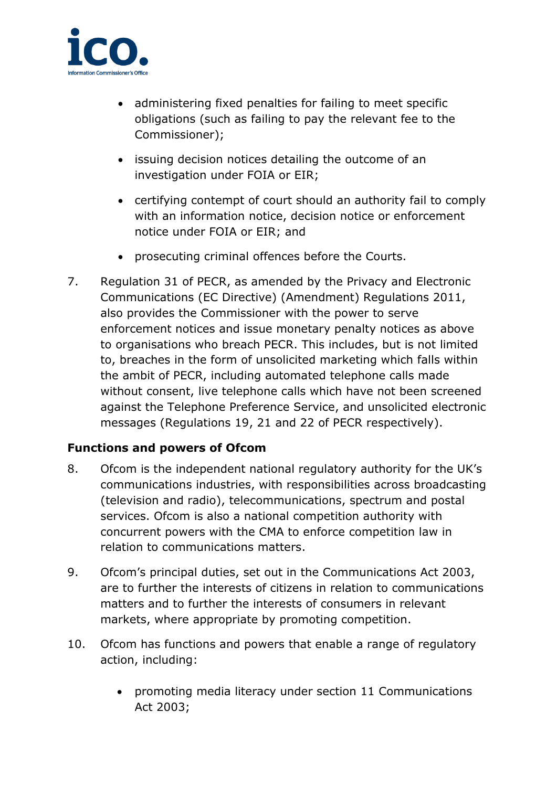

- administering fixed penalties for failing to meet specific obligations (such as failing to pay the relevant fee to the Commissioner);
- issuing decision notices detailing the outcome of an investigation under FOIA or EIR;
- certifying contempt of court should an authority fail to comply with an information notice, decision notice or enforcement notice under FOIA or EIR; and
- prosecuting criminal offences before the Courts.
- 7. Regulation 31 of PECR, as amended by the Privacy and Electronic Communications (EC Directive) (Amendment) Regulations 2011, also provides the Commissioner with the power to serve enforcement notices and issue monetary penalty notices as above to organisations who breach PECR. This includes, but is not limited to, breaches in the form of unsolicited marketing which falls within the ambit of PECR, including automated telephone calls made without consent, live telephone calls which have not been screened against the Telephone Preference Service, and unsolicited electronic messages (Regulations 19, 21 and 22 of PECR respectively).

# **Functions and powers of Ofcom**

- 8. Ofcom is the independent national regulatory authority for the UK's communications industries, with responsibilities across broadcasting (television and radio), telecommunications, spectrum and postal services. Ofcom is also a national competition authority with concurrent powers with the CMA to enforce competition law in relation to communications matters.
- 9. Ofcom's principal duties, set out in the Communications Act 2003, are to further the interests of citizens in relation to communications matters and to further the interests of consumers in relevant markets, where appropriate by promoting competition.
- 10. Ofcom has functions and powers that enable a range of regulatory action, including:
	- promoting media literacy under section 11 Communications Act 2003;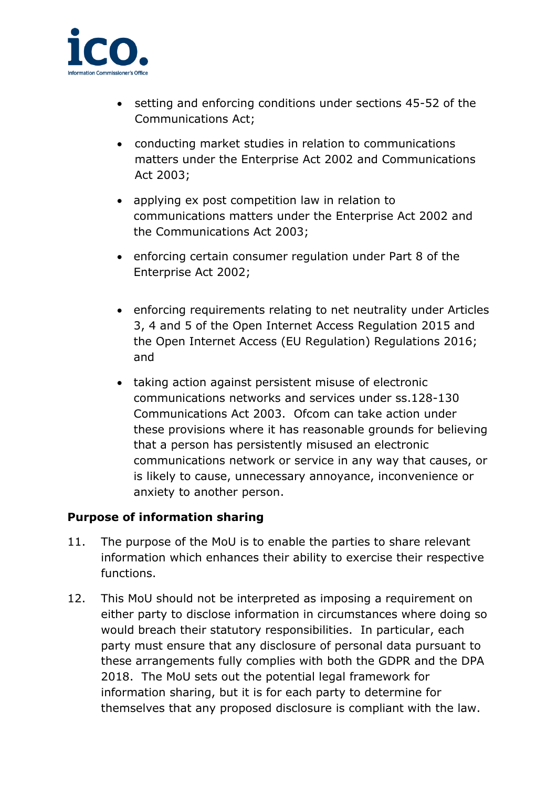

- setting and enforcing conditions under sections 45-52 of the Communications Act;
- conducting market studies in relation to communications matters under the Enterprise Act 2002 and Communications Act 2003;
- applying ex post competition law in relation to communications matters under the Enterprise Act 2002 and the Communications Act 2003;
- enforcing certain consumer regulation under Part 8 of the Enterprise Act 2002;
- enforcing requirements relating to net neutrality under Articles 3, 4 and 5 of the Open Internet Access Regulation 2015 and the Open Internet Access (EU Regulation) Regulations 2016; and
- taking action against persistent misuse of electronic communications networks and services under ss.128-130 Communications Act 2003. Ofcom can take action under these provisions where it has reasonable grounds for believing that a person has persistently misused an electronic communications network or service in any way that causes, or is likely to cause, unnecessary annoyance, inconvenience or anxiety to another person.

## **Purpose of information sharing**

- 11. The purpose of the MoU is to enable the parties to share relevant information which enhances their ability to exercise their respective functions.
- 12. This MoU should not be interpreted as imposing a requirement on either party to disclose information in circumstances where doing so would breach their statutory responsibilities. In particular, each party must ensure that any disclosure of personal data pursuant to these arrangements fully complies with both the GDPR and the DPA 2018. The MoU sets out the potential legal framework for information sharing, but it is for each party to determine for themselves that any proposed disclosure is compliant with the law.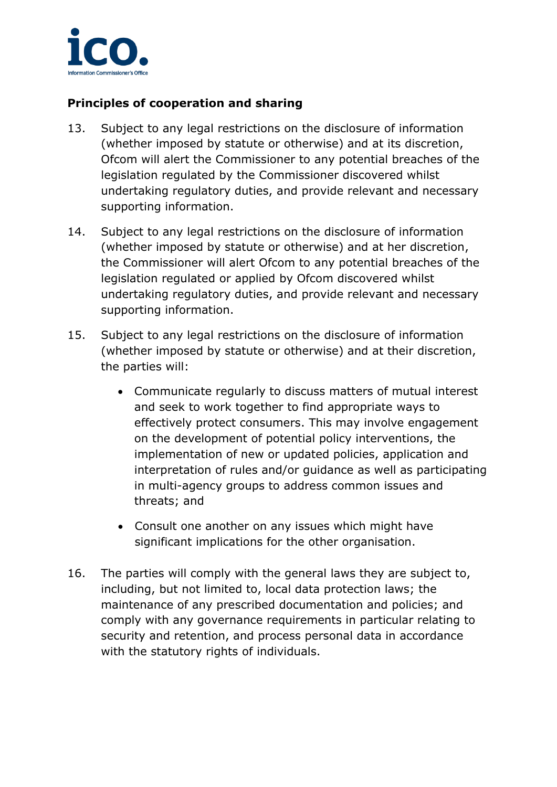

# **Principles of cooperation and sharing**

- 13. Subject to any legal restrictions on the disclosure of information (whether imposed by statute or otherwise) and at its discretion, Ofcom will alert the Commissioner to any potential breaches of the legislation regulated by the Commissioner discovered whilst undertaking regulatory duties, and provide relevant and necessary supporting information.
- 14. Subject to any legal restrictions on the disclosure of information (whether imposed by statute or otherwise) and at her discretion, the Commissioner will alert Ofcom to any potential breaches of the legislation regulated or applied by Ofcom discovered whilst undertaking regulatory duties, and provide relevant and necessary supporting information.
- 15. Subject to any legal restrictions on the disclosure of information (whether imposed by statute or otherwise) and at their discretion, the parties will:
	- Communicate regularly to discuss matters of mutual interest and seek to work together to find appropriate ways to effectively protect consumers. This may involve engagement on the development of potential policy interventions, the implementation of new or updated policies, application and interpretation of rules and/or guidance as well as participating in multi-agency groups to address common issues and threats; and
	- Consult one another on any issues which might have significant implications for the other organisation.
- 16. The parties will comply with the general laws they are subject to, including, but not limited to, local data protection laws; the maintenance of any prescribed documentation and policies; and comply with any governance requirements in particular relating to security and retention, and process personal data in accordance with the statutory rights of individuals.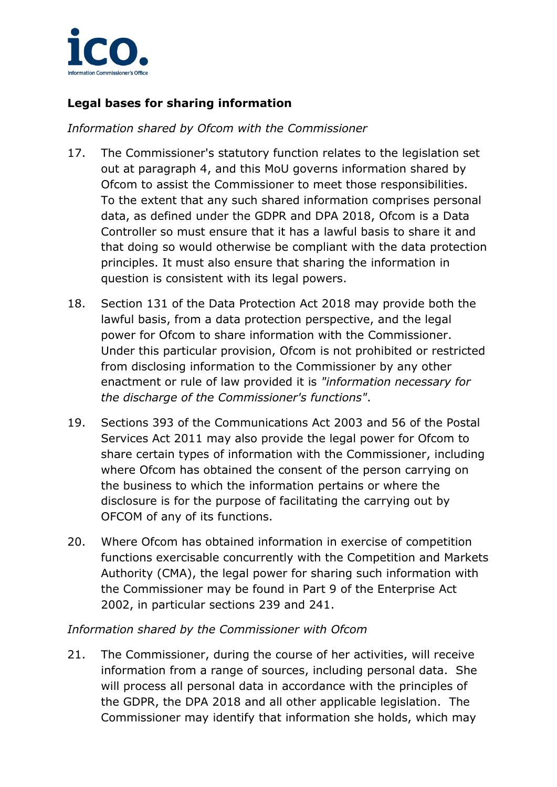

# **Legal bases for sharing information**

*Information shared by Ofcom with the Commissioner*

- 17. The Commissioner's statutory function relates to the legislation set out at paragraph 4, and this MoU governs information shared by Ofcom to assist the Commissioner to meet those responsibilities. To the extent that any such shared information comprises personal data, as defined under the GDPR and DPA 2018, Ofcom is a Data Controller so must ensure that it has a lawful basis to share it and that doing so would otherwise be compliant with the data protection principles. It must also ensure that sharing the information in question is consistent with its legal powers.
- 18. Section 131 of the Data Protection Act 2018 may provide both the lawful basis, from a data protection perspective, and the legal power for Ofcom to share information with the Commissioner. Under this particular provision, Ofcom is not prohibited or restricted from disclosing information to the Commissioner by any other enactment or rule of law provided it is *"information necessary for the discharge of the Commissioner's functions"*.
- 19. Sections 393 of the Communications Act 2003 and 56 of the Postal Services Act 2011 may also provide the legal power for Ofcom to share certain types of information with the Commissioner, including where Ofcom has obtained the consent of the person carrying on the business to which the information pertains or where the disclosure is for the purpose of facilitating the carrying out by OFCOM of any of its functions.
- 20. Where Ofcom has obtained information in exercise of competition functions exercisable concurrently with the Competition and Markets Authority (CMA), the legal power for sharing such information with the Commissioner may be found in Part 9 of the Enterprise Act 2002, in particular sections 239 and 241.

#### *Information shared by the Commissioner with Ofcom*

21. The Commissioner, during the course of her activities, will receive information from a range of sources, including personal data. She will process all personal data in accordance with the principles of the GDPR, the DPA 2018 and all other applicable legislation. The Commissioner may identify that information she holds, which may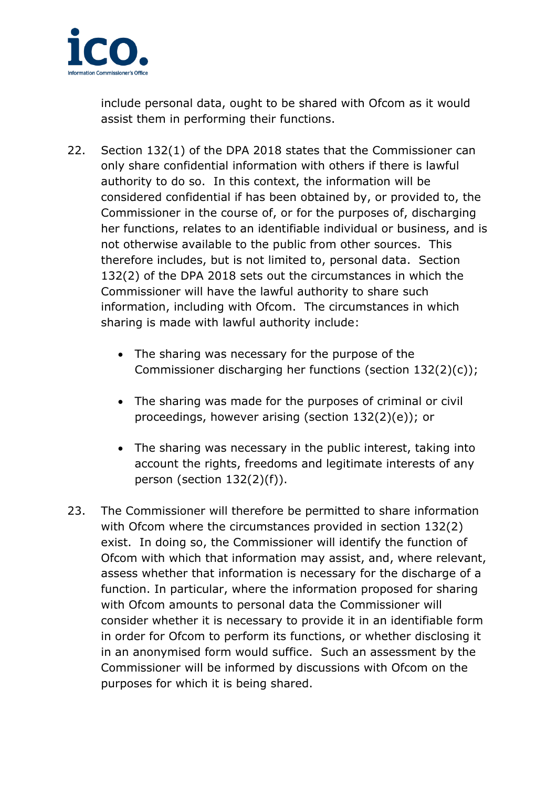

include personal data, ought to be shared with Ofcom as it would assist them in performing their functions.

- 22. Section 132(1) of the DPA 2018 states that the Commissioner can only share confidential information with others if there is lawful authority to do so. In this context, the information will be considered confidential if has been obtained by, or provided to, the Commissioner in the course of, or for the purposes of, discharging her functions, relates to an identifiable individual or business, and is not otherwise available to the public from other sources. This therefore includes, but is not limited to, personal data. Section 132(2) of the DPA 2018 sets out the circumstances in which the Commissioner will have the lawful authority to share such information, including with Ofcom. The circumstances in which sharing is made with lawful authority include:
	- The sharing was necessary for the purpose of the Commissioner discharging her functions (section 132(2)(c));
	- The sharing was made for the purposes of criminal or civil proceedings, however arising (section 132(2)(e)); or
	- The sharing was necessary in the public interest, taking into account the rights, freedoms and legitimate interests of any person (section 132(2)(f)).
- 23. The Commissioner will therefore be permitted to share information with Ofcom where the circumstances provided in section 132(2) exist. In doing so, the Commissioner will identify the function of Ofcom with which that information may assist, and, where relevant, assess whether that information is necessary for the discharge of a function. In particular, where the information proposed for sharing with Ofcom amounts to personal data the Commissioner will consider whether it is necessary to provide it in an identifiable form in order for Ofcom to perform its functions, or whether disclosing it in an anonymised form would suffice. Such an assessment by the Commissioner will be informed by discussions with Ofcom on the purposes for which it is being shared.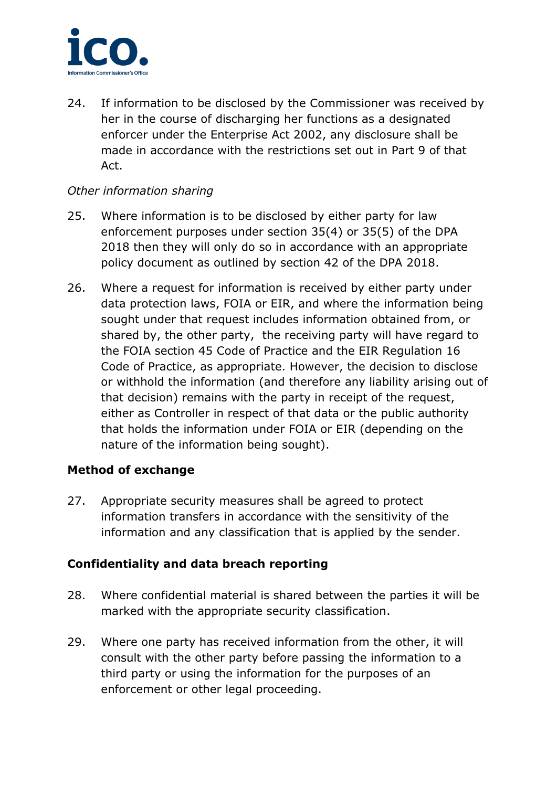

24. If information to be disclosed by the Commissioner was received by her in the course of discharging her functions as a designated enforcer under the Enterprise Act 2002, any disclosure shall be made in accordance with the restrictions set out in Part 9 of that Act.

## *Other information sharing*

- 25. Where information is to be disclosed by either party for law enforcement purposes under section 35(4) or 35(5) of the DPA 2018 then they will only do so in accordance with an appropriate policy document as outlined by section 42 of the DPA 2018.
- 26. Where a request for information is received by either party under data protection laws, FOIA or EIR, and where the information being sought under that request includes information obtained from, or shared by, the other party, the receiving party will have regard to the FOIA section 45 Code of Practice and the EIR Regulation 16 Code of Practice, as appropriate. However, the decision to disclose or withhold the information (and therefore any liability arising out of that decision) remains with the party in receipt of the request, either as Controller in respect of that data or the public authority that holds the information under FOIA or EIR (depending on the nature of the information being sought).

#### **Method of exchange**

27. Appropriate security measures shall be agreed to protect information transfers in accordance with the sensitivity of the information and any classification that is applied by the sender.

## **Confidentiality and data breach reporting**

- 28. Where confidential material is shared between the parties it will be marked with the appropriate security classification.
- 29. Where one party has received information from the other, it will consult with the other party before passing the information to a third party or using the information for the purposes of an enforcement or other legal proceeding.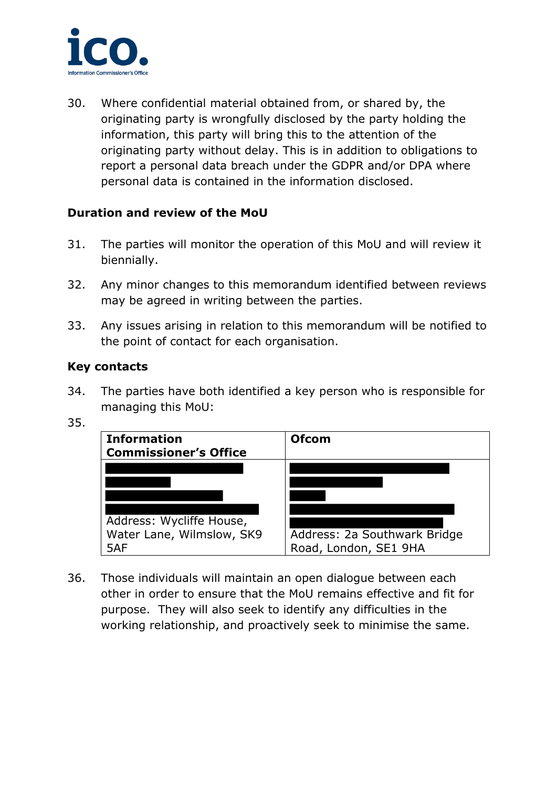

30. Where confidential material obtained from, or shared by, the originating party is wrongfully disclosed by the party holding the information, this party will bring this to the attention of the originating party without delay. This is in addition to obligations to report a personal data breach under the GDPR and/or DPA where personal data is contained in the information disclosed.

## **Duration and review of the MoU**

- 31. The parties will monitor the operation of this MoU and will review it biennially.
- 32. Any minor changes to this memorandum identified between reviews may be agreed in writing between the parties.
- 33. Any issues arising in relation to this memorandum will be notified to the point of contact for each organisation.

## **Key contacts**

- 34. The parties have both identified a key person who is responsible for managing this MoU:
- 35.

| <b>Information</b><br><b>Commissioner's Office</b> | <b>Ofcom</b>                 |
|----------------------------------------------------|------------------------------|
|                                                    |                              |
|                                                    |                              |
|                                                    |                              |
| Address: Wycliffe House,                           |                              |
| Water Lane, Wilmslow, SK9                          | Address: 2a Southwark Bridge |
| 5AF                                                | Road, London, SE1 9HA        |

36. Those individuals will maintain an open dialogue between each other in order to ensure that the MoU remains effective and fit for purpose. They will also seek to identify any difficulties in the working relationship, and proactively seek to minimise the same.